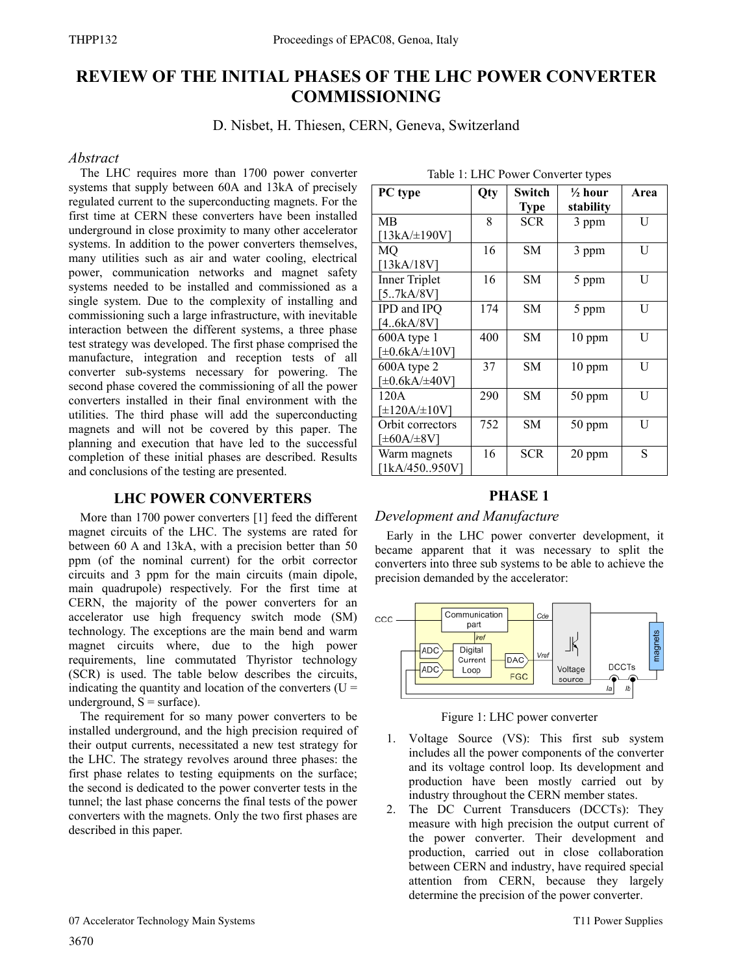# **REVIEW OF THE INITIAL PHASES OF THE LHC POWER CONVERTER COMMISSIONING**

D. Nisbet, H. Thiesen, CERN, Geneva, Switzerland

### *Abstract*

The LHC requires more than 1700 power converter systems that supply between 60A and 13kA of precisely regulated current to the superconducting magnets. For the first time at CERN these converters have been installed underground in close proximity to many other accelerator systems. In addition to the power converters themselves, many utilities such as air and water cooling, electrical power, communication networks and magnet safety systems needed to be installed and commissioned as a single system. Due to the complexity of installing and commissioning such a large infrastructure, with inevitable interaction between the different systems, a three phase test strategy was developed. The first phase comprised the manufacture, integration and reception tests of all converter sub-systems necessary for powering. The second phase covered the commissioning of all the power converters installed in their final environment with the utilities. The third phase will add the superconducting magnets and will not be covered by this paper. The planning and execution that have led to the successful completion of these initial phases are described. Results and conclusions of the testing are presented.

# **LHC POWER CONVERTERS**

More than 1700 power converters [1] feed the different magnet circuits of the LHC. The systems are rated for between 60 A and 13kA, with a precision better than 50 ppm (of the nominal current) for the orbit corrector circuits and 3 ppm for the main circuits (main dipole, main quadrupole) respectively. For the first time at CERN, the majority of the power converters for an accelerator use high frequency switch mode (SM) technology. The exceptions are the main bend and warm magnet circuits where, due to the high power requirements, line commutated Thyristor technology (SCR) is used. The table below describes the circuits, indicating the quantity and location of the converters  $(U =$ underground,  $S = \text{surface}$ ).

The requirement for so many power converters to be installed underground, and the high precision required of their output currents, necessitated a new test strategy for the LHC. The strategy revolves around three phases: the first phase relates to testing equipments on the surface; the second is dedicated to the power converter tests in the tunnel; the last phase concerns the final tests of the power converters with the magnets. Only the two first phases are described in this paper.

| PC type                                  | Qty | Switch<br><b>Type</b> | $\frac{1}{2}$ hour<br>stability | Area |  |  |
|------------------------------------------|-----|-----------------------|---------------------------------|------|--|--|
| МB<br>[13kA/±190V]                       | 8   | <b>SCR</b>            | 3 ppm                           | U    |  |  |
| МO<br>[13kA/18V]                         | 16  | <b>SM</b>             | 3 ppm                           | U    |  |  |
| <b>Inner Triplet</b><br>[57kA/8V]        | 16  | SМ                    | 5 ppm                           | U    |  |  |
| IPD and IPQ<br>[46kA/8V]                 | 174 | <b>SM</b>             | 5 ppm                           | U    |  |  |
| 600A type 1<br>$[\pm 0.6kA/\pm 10V]$     | 400 | <b>SM</b>             | 10 ppm                          | U    |  |  |
| $600A$ type 2<br>[±0.6kA/±40V]           | 37  | <b>SM</b>             | 10 ppm                          | U    |  |  |
| 120A<br>[±120A/±10V]                     | 290 | <b>SM</b>             | 50 ppm                          | U    |  |  |
| Orbit correctors<br>[ $\pm 60A/\pm 8V$ ] | 752 | <b>SM</b>             | 50 ppm                          | U    |  |  |
| Warm magnets<br>[1kA/450950V]            | 16  | <b>SCR</b>            | 20 ppm                          | S    |  |  |

#### Table 1: LHC Power Converter types

# **PHASE 1**

# *Development and Manufacture*

Early in the LHC power converter development, it became apparent that it was necessary to split the converters into three sub systems to be able to achieve the precision demanded by the accelerator:



Figure 1: LHC power converter

- 1. Voltage Source (VS): This first sub system includes all the power components of the converter and its voltage control loop. Its development and production have been mostly carried out by industry throughout the CERN member states.
- 2. The DC Current Transducers (DCCTs): They measure with high precision the output current of the power converter. Their development and production, carried out in close collaboration between CERN and industry, have required special attention from CERN, because they largely determine the precision of the power converter.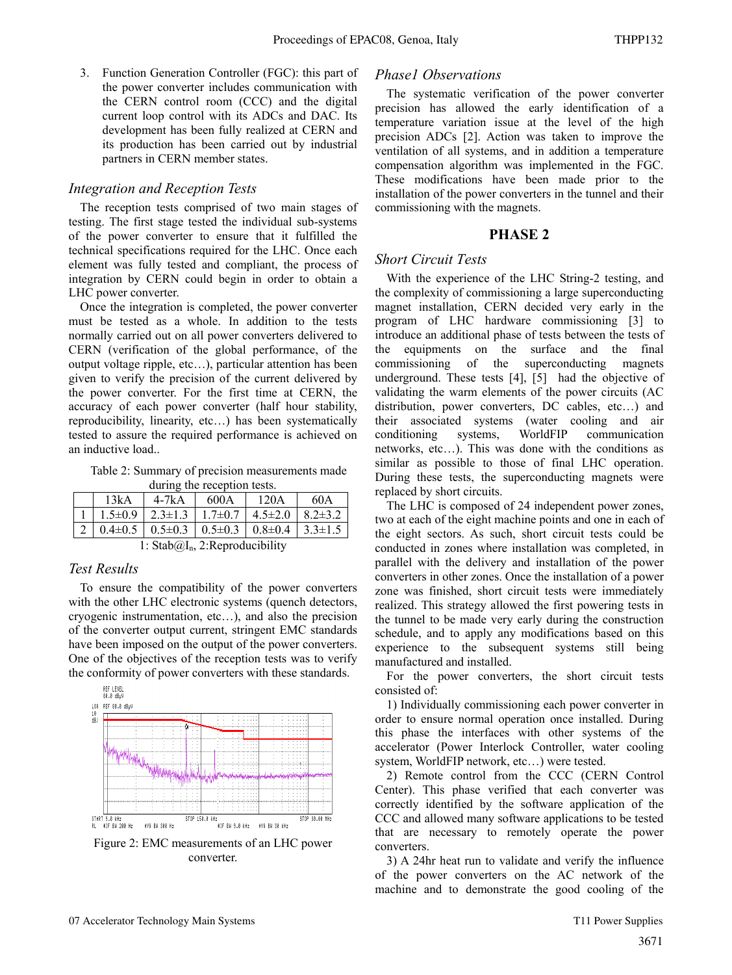3. Function Generation Controller (FGC): this part of the power converter includes communication with the CERN control room (CCC) and the digital current loop control with its ADCs and DAC. Its development has been fully realized at CERN and its production has been carried out by industrial partners in CERN member states.

#### *Integration and Reception Tests*

The reception tests comprised of two main stages of testing. The first stage tested the individual sub-systems of the power converter to ensure that it fulfilled the technical specifications required for the LHC. Once each element was fully tested and compliant, the process of integration by CERN could begin in order to obtain a LHC power converter.

Once the integration is completed, the power converter must be tested as a whole. In addition to the tests normally carried out on all power converters delivered to CERN (verification of the global performance, of the output voltage ripple, etc…), particular attention has been given to verify the precision of the current delivered by the power converter. For the first time at CERN, the accuracy of each power converter (half hour stability, reproducibility, linearity, etc…) has been systematically tested to assure the required performance is achieved on an inductive load..

Table 2: Summary of precision measurements made during the reception tests.

| $aux = uv + cov$                                                                       |             |      |               |               |  |  |  |  |
|----------------------------------------------------------------------------------------|-------------|------|---------------|---------------|--|--|--|--|
| 13kA                                                                                   | $4-7kA$     | 600A | 120A          | 60A           |  |  |  |  |
| $1.5 \pm 0.9$                                                                          | $1.7\pm0.7$ |      | $4.5 \pm 2.0$ | $8.2 \pm 3.2$ |  |  |  |  |
| $\vert 0.4\pm 0.5 \vert 0.5\pm 0.3 \vert 0.5\pm 0.3 \vert 0.8\pm 0.4 \vert 3.3\pm 1.5$ |             |      |               |               |  |  |  |  |

1: Stab $@I_n$ , 2: Reproducibility

#### *Test Results*

To ensure the compatibility of the power converters with the other LHC electronic systems (quench detectors, cryogenic instrumentation, etc…), and also the precision of the converter output current, stringent EMC standards have been imposed on the output of the power converters. One of the objectives of the reception tests was to verify the conformity of power converters with these standards.



Figure 2: EMC measurements of an LHC power converter.

#### *Phase1 Observations*

The systematic verification of the power converter precision has allowed the early identification of a temperature variation issue at the level of the high precision ADCs [2]. Action was taken to improve the ventilation of all systems, and in addition a temperature compensation algorithm was implemented in the FGC. These modifications have been made prior to the installation of the power converters in the tunnel and their commissioning with the magnets.

#### **PHASE 2**

#### *Short Circuit Tests*

With the experience of the LHC String-2 testing, and the complexity of commissioning a large superconducting magnet installation, CERN decided very early in the program of LHC hardware commissioning [3] to introduce an additional phase of tests between the tests of the equipments on the surface and the final commissioning of the superconducting magnets underground. These tests [4], [5] had the objective of validating the warm elements of the power circuits (AC distribution, power converters, DC cables, etc…) and their associated systems (water cooling and air conditioning systems, WorldFIP communication networks, etc…). This was done with the conditions as similar as possible to those of final LHC operation. During these tests, the superconducting magnets were replaced by short circuits.

The LHC is composed of 24 independent power zones, two at each of the eight machine points and one in each of the eight sectors. As such, short circuit tests could be conducted in zones where installation was completed, in parallel with the delivery and installation of the power converters in other zones. Once the installation of a power zone was finished, short circuit tests were immediately realized. This strategy allowed the first powering tests in the tunnel to be made very early during the construction schedule, and to apply any modifications based on this experience to the subsequent systems still being manufactured and installed.

For the power converters, the short circuit tests consisted of:

1) Individually commissioning each power converter in order to ensure normal operation once installed. During this phase the interfaces with other systems of the accelerator (Power Interlock Controller, water cooling system, WorldFIP network, etc…) were tested.

2) Remote control from the CCC (CERN Control Center). This phase verified that each converter was correctly identified by the software application of the CCC and allowed many software applications to be tested that are necessary to remotely operate the power converters.

3) A 24hr heat run to validate and verify the influence of the power converters on the AC network of the machine and to demonstrate the good cooling of the